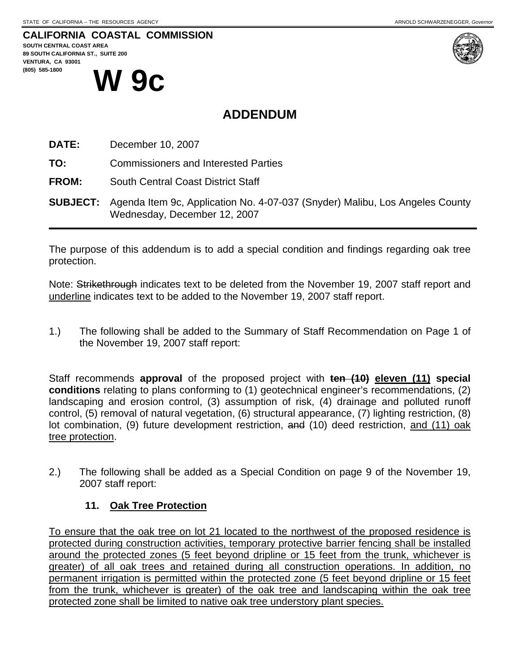## **CALIFORNIA COASTAL COMMISSION**





# **ADDENDUM**

**DATE:** December 10, 2007

**TO:** Commissioners and Interested Parties

**FROM:** South Central Coast District Staff

**SUBJECT:** Agenda Item 9c, Application No. 4-07-037 (Snyder) Malibu, Los Angeles County Wednesday, December 12, 2007

The purpose of this addendum is to add a special condition and findings regarding oak tree protection.

Note: Strikethrough indicates text to be deleted from the November 19, 2007 staff report and underline indicates text to be added to the November 19, 2007 staff report.

1.) The following shall be added to the Summary of Staff Recommendation on Page 1 of the November 19, 2007 staff report:

 Staff recommends **approval** of the proposed project with **ten (10) eleven (11) special conditions** relating to plans conforming to (1) geotechnical engineer's recommendations, (2) landscaping and erosion control, (3) assumption of risk, (4) drainage and polluted runoff control, (5) removal of natural vegetation, (6) structural appearance, (7) lighting restriction, (8) lot combination, (9) future development restriction, and (10) deed restriction, and (11) oak tree protection.

2.) The following shall be added as a Special Condition on page 9 of the November 19, 2007 staff report:

#### **11. Oak Tree Protection**

To ensure that the oak tree on lot 21 located to the northwest of the proposed residence is protected during construction activities, temporary protective barrier fencing shall be installed around the protected zones (5 feet beyond dripline or 15 feet from the trunk, whichever is greater) of all oak trees and retained during all construction operations. In addition, no permanent irrigation is permitted within the protected zone (5 feet beyond dripline or 15 feet from the trunk, whichever is greater) of the oak tree and landscaping within the oak tree protected zone shall be limited to native oak tree understory plant species.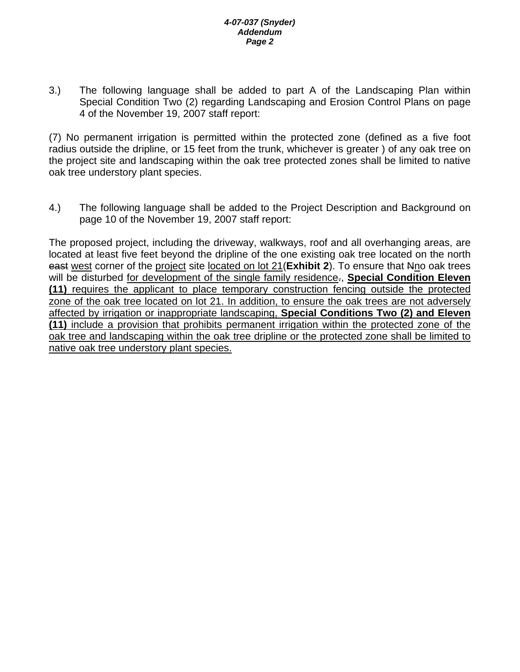#### *4-07-037 (Snyder) Addendum Page 2*

3.) The following language shall be added to part A of the Landscaping Plan within Special Condition Two (2) regarding Landscaping and Erosion Control Plans on page 4 of the November 19, 2007 staff report:

(7) No permanent irrigation is permitted within the protected zone (defined as a five foot radius outside the dripline, or 15 feet from the trunk, whichever is greater ) of any oak tree on the project site and landscaping within the oak tree protected zones shall be limited to native oak tree understory plant species.

4.) The following language shall be added to the Project Description and Background on page 10 of the November 19, 2007 staff report:

The proposed project, including the driveway, walkways, roof and all overhanging areas, are located at least five feet beyond the dripline of the one existing oak tree located on the north east west corner of the project site located on lot 21(**Exhibit 2**). To ensure that Nno oak trees will be disturbed for development of the single family residence., **Special Condition Eleven (11)** requires the applicant to place temporary construction fencing outside the protected zone of the oak tree located on lot 21. In addition, to ensure the oak trees are not adversely affected by irrigation or inappropriate landscaping, **Special Conditions Two (2) and Eleven (11)** include a provision that prohibits permanent irrigation within the protected zone of the oak tree and landscaping within the oak tree dripline or the protected zone shall be limited to native oak tree understory plant species.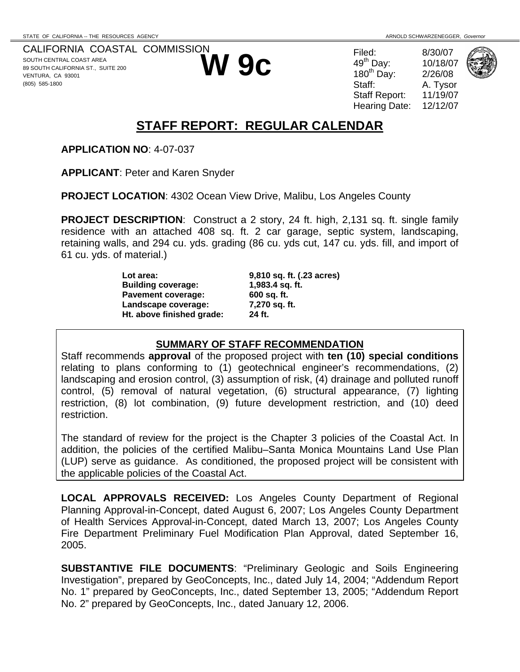CALIFORNIA COASTAL COMMISSION SOUTH CENTRAL COAST AREA 89 SOUTH CALIFORNIA ST., SUITE 200 VENTURA, CA 93001 (805) 585-1800



**W 9c** Filed: 8/30/07<br>  $^{49^{\text{th}}}$  Day: 10/18/07<br>  $^{49^{\text{th}}}$  Day: 2/26/08<br>
Staff: A. Tysor  $49<sup>th</sup>$  Dav: 180 $th$  Day: A. Tysor Staff Report: 11/19/07 Hearing Date: 12/12/07



# **STAFF REPORT: REGULAR CALENDAR**

**APPLICATION NO**: 4-07-037

**APPLICANT**: Peter and Karen Snyder

**PROJECT LOCATION**: 4302 Ocean View Drive, Malibu, Los Angeles County

**PROJECT DESCRIPTION**: Construct a 2 story, 24 ft. high, 2,131 sq. ft. single family residence with an attached 408 sq. ft. 2 car garage, septic system, landscaping, retaining walls, and 294 cu. yds. grading (86 cu. yds cut, 147 cu. yds. fill, and import of 61 cu. yds. of material.)

> **Lot area: 9,810 sq. ft. (.23 acres) Building coverage: 1,983.4 sq. ft.**  Pavement coverage: 600 sq. ft. **Landscape coverage: 7,270 sq. ft. Ht. above finished grade: 24 ft.**

## **SUMMARY OF STAFF RECOMMENDATION**

Staff recommends **approval** of the proposed project with **ten (10) special conditions** relating to plans conforming to (1) geotechnical engineer's recommendations, (2) landscaping and erosion control, (3) assumption of risk, (4) drainage and polluted runoff control, (5) removal of natural vegetation, (6) structural appearance, (7) lighting restriction, (8) lot combination, (9) future development restriction, and (10) deed restriction.

The standard of review for the project is the Chapter 3 policies of the Coastal Act. In addition, the policies of the certified Malibu–Santa Monica Mountains Land Use Plan (LUP) serve as guidance. As conditioned, the proposed project will be consistent with the applicable policies of the Coastal Act.

**LOCAL APPROVALS RECEIVED:** Los Angeles County Department of Regional Planning Approval-in-Concept, dated August 6, 2007; Los Angeles County Department of Health Services Approval-in-Concept, dated March 13, 2007; Los Angeles County Fire Department Preliminary Fuel Modification Plan Approval, dated September 16, 2005.

**SUBSTANTIVE FILE DOCUMENTS**: "Preliminary Geologic and Soils Engineering Investigation", prepared by GeoConcepts, Inc., dated July 14, 2004; "Addendum Report No. 1" prepared by GeoConcepts, Inc., dated September 13, 2005; "Addendum Report No. 2" prepared by GeoConcepts, Inc., dated January 12, 2006.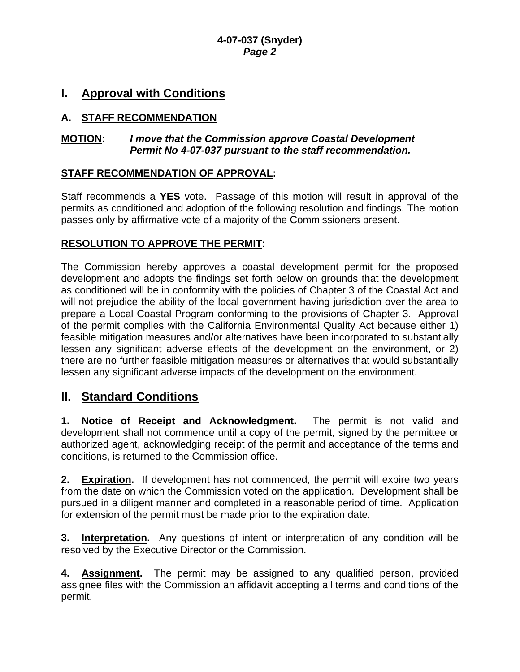## **I. Approval with Conditions**

## **A. STAFF RECOMMENDATION**

#### **MOTION:** *I move that the Commission approve Coastal Development Permit No 4-07-037 pursuant to the staff recommendation.*

## **STAFF RECOMMENDATION OF APPROVAL:**

Staff recommends a **YES** vote. Passage of this motion will result in approval of the permits as conditioned and adoption of the following resolution and findings. The motion passes only by affirmative vote of a majority of the Commissioners present.

#### **RESOLUTION TO APPROVE THE PERMIT:**

The Commission hereby approves a coastal development permit for the proposed development and adopts the findings set forth below on grounds that the development as conditioned will be in conformity with the policies of Chapter 3 of the Coastal Act and will not prejudice the ability of the local government having jurisdiction over the area to prepare a Local Coastal Program conforming to the provisions of Chapter 3. Approval of the permit complies with the California Environmental Quality Act because either 1) feasible mitigation measures and/or alternatives have been incorporated to substantially lessen any significant adverse effects of the development on the environment, or 2) there are no further feasible mitigation measures or alternatives that would substantially lessen any significant adverse impacts of the development on the environment.

## **II. Standard Conditions**

**1. Notice of Receipt and Acknowledgment.** The permit is not valid and development shall not commence until a copy of the permit, signed by the permittee or authorized agent, acknowledging receipt of the permit and acceptance of the terms and conditions, is returned to the Commission office.

**2. Expiration.** If development has not commenced, the permit will expire two years from the date on which the Commission voted on the application. Development shall be pursued in a diligent manner and completed in a reasonable period of time. Application for extension of the permit must be made prior to the expiration date.

**3. Interpretation.** Any questions of intent or interpretation of any condition will be resolved by the Executive Director or the Commission.

**4. Assignment.** The permit may be assigned to any qualified person, provided assignee files with the Commission an affidavit accepting all terms and conditions of the permit.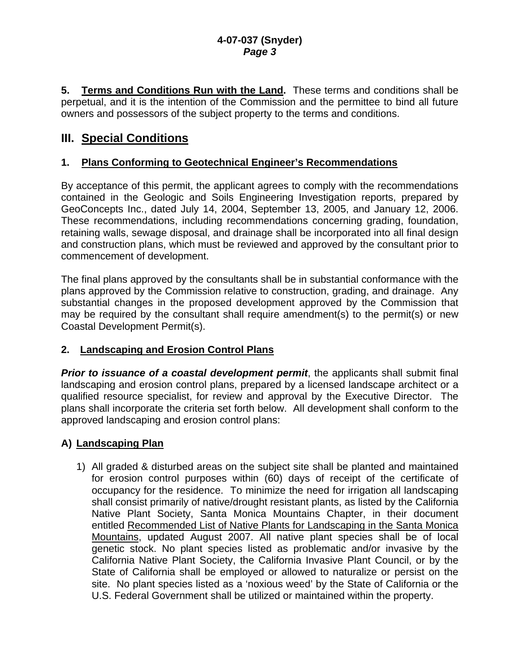**5. Terms and Conditions Run with the Land.** These terms and conditions shall be perpetual, and it is the intention of the Commission and the permittee to bind all future owners and possessors of the subject property to the terms and conditions.

## **III. Special Conditions**

#### **1. Plans Conforming to Geotechnical Engineer's Recommendations**

By acceptance of this permit, the applicant agrees to comply with the recommendations contained in the Geologic and Soils Engineering Investigation reports, prepared by GeoConcepts Inc., dated July 14, 2004, September 13, 2005, and January 12, 2006. These recommendations, including recommendations concerning grading, foundation, retaining walls, sewage disposal, and drainage shall be incorporated into all final design and construction plans, which must be reviewed and approved by the consultant prior to commencement of development.

The final plans approved by the consultants shall be in substantial conformance with the plans approved by the Commission relative to construction, grading, and drainage. Any substantial changes in the proposed development approved by the Commission that may be required by the consultant shall require amendment(s) to the permit(s) or new Coastal Development Permit(s).

## **2. Landscaping and Erosion Control Plans**

**Prior to issuance of a coastal development permit**, the applicants shall submit final landscaping and erosion control plans, prepared by a licensed landscape architect or a qualified resource specialist, for review and approval by the Executive Director. The plans shall incorporate the criteria set forth below. All development shall conform to the approved landscaping and erosion control plans:

## **A) Landscaping Plan**

1) All graded & disturbed areas on the subject site shall be planted and maintained for erosion control purposes within (60) days of receipt of the certificate of occupancy for the residence. To minimize the need for irrigation all landscaping shall consist primarily of native/drought resistant plants, as listed by the California Native Plant Society, Santa Monica Mountains Chapter, in their document entitled Recommended List of Native Plants for Landscaping in the Santa Monica Mountains, updated August 2007. All native plant species shall be of local genetic stock. No plant species listed as problematic and/or invasive by the California Native Plant Society, the California Invasive Plant Council, or by the State of California shall be employed or allowed to naturalize or persist on the site. No plant species listed as a 'noxious weed' by the State of California or the U.S. Federal Government shall be utilized or maintained within the property.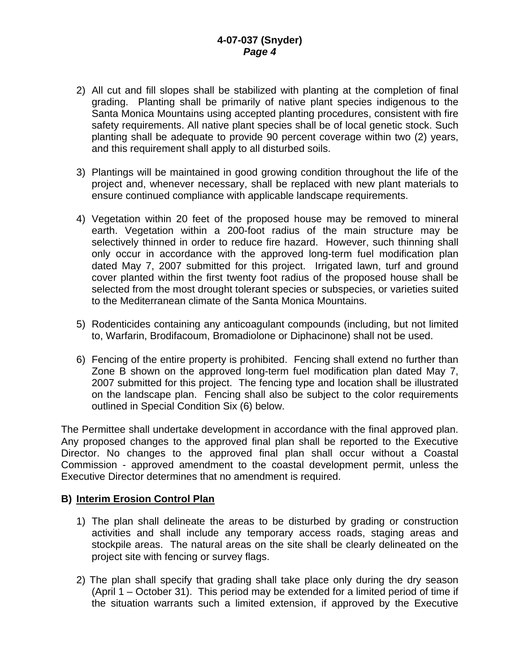- 2) All cut and fill slopes shall be stabilized with planting at the completion of final grading. Planting shall be primarily of native plant species indigenous to the Santa Monica Mountains using accepted planting procedures, consistent with fire safety requirements. All native plant species shall be of local genetic stock. Such planting shall be adequate to provide 90 percent coverage within two (2) years, and this requirement shall apply to all disturbed soils.
- 3) Plantings will be maintained in good growing condition throughout the life of the project and, whenever necessary, shall be replaced with new plant materials to ensure continued compliance with applicable landscape requirements.
- 4) Vegetation within 20 feet of the proposed house may be removed to mineral earth. Vegetation within a 200-foot radius of the main structure may be selectively thinned in order to reduce fire hazard. However, such thinning shall only occur in accordance with the approved long-term fuel modification plan dated May 7, 2007 submitted for this project. Irrigated lawn, turf and ground cover planted within the first twenty foot radius of the proposed house shall be selected from the most drought tolerant species or subspecies, or varieties suited to the Mediterranean climate of the Santa Monica Mountains.
- 5) Rodenticides containing any anticoagulant compounds (including, but not limited to, Warfarin, Brodifacoum, Bromadiolone or Diphacinone) shall not be used.
- 6) Fencing of the entire property is prohibited. Fencing shall extend no further than Zone B shown on the approved long-term fuel modification plan dated May 7, 2007 submitted for this project. The fencing type and location shall be illustrated on the landscape plan. Fencing shall also be subject to the color requirements outlined in Special Condition Six (6) below.

The Permittee shall undertake development in accordance with the final approved plan. Any proposed changes to the approved final plan shall be reported to the Executive Director. No changes to the approved final plan shall occur without a Coastal Commission - approved amendment to the coastal development permit, unless the Executive Director determines that no amendment is required.

#### **B) Interim Erosion Control Plan**

- 1) The plan shall delineate the areas to be disturbed by grading or construction activities and shall include any temporary access roads, staging areas and stockpile areas. The natural areas on the site shall be clearly delineated on the project site with fencing or survey flags.
- 2) The plan shall specify that grading shall take place only during the dry season (April 1 – October 31). This period may be extended for a limited period of time if the situation warrants such a limited extension, if approved by the Executive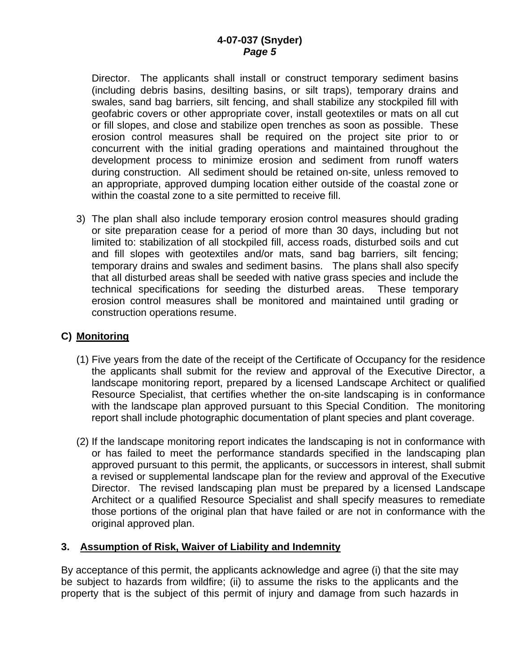Director. The applicants shall install or construct temporary sediment basins (including debris basins, desilting basins, or silt traps), temporary drains and swales, sand bag barriers, silt fencing, and shall stabilize any stockpiled fill with geofabric covers or other appropriate cover, install geotextiles or mats on all cut or fill slopes, and close and stabilize open trenches as soon as possible. These erosion control measures shall be required on the project site prior to or concurrent with the initial grading operations and maintained throughout the development process to minimize erosion and sediment from runoff waters during construction. All sediment should be retained on-site, unless removed to an appropriate, approved dumping location either outside of the coastal zone or within the coastal zone to a site permitted to receive fill.

3) The plan shall also include temporary erosion control measures should grading or site preparation cease for a period of more than 30 days, including but not limited to: stabilization of all stockpiled fill, access roads, disturbed soils and cut and fill slopes with geotextiles and/or mats, sand bag barriers, silt fencing; temporary drains and swales and sediment basins. The plans shall also specify that all disturbed areas shall be seeded with native grass species and include the technical specifications for seeding the disturbed areas. These temporary erosion control measures shall be monitored and maintained until grading or construction operations resume.

#### **C) Monitoring**

- (1) Five years from the date of the receipt of the Certificate of Occupancy for the residence the applicants shall submit for the review and approval of the Executive Director, a landscape monitoring report, prepared by a licensed Landscape Architect or qualified Resource Specialist, that certifies whether the on-site landscaping is in conformance with the landscape plan approved pursuant to this Special Condition. The monitoring report shall include photographic documentation of plant species and plant coverage.
- (2) If the landscape monitoring report indicates the landscaping is not in conformance with or has failed to meet the performance standards specified in the landscaping plan approved pursuant to this permit, the applicants, or successors in interest, shall submit a revised or supplemental landscape plan for the review and approval of the Executive Director. The revised landscaping plan must be prepared by a licensed Landscape Architect or a qualified Resource Specialist and shall specify measures to remediate those portions of the original plan that have failed or are not in conformance with the original approved plan.

#### **3. Assumption of Risk, Waiver of Liability and Indemnity**

By acceptance of this permit, the applicants acknowledge and agree (i) that the site may be subject to hazards from wildfire; (ii) to assume the risks to the applicants and the property that is the subject of this permit of injury and damage from such hazards in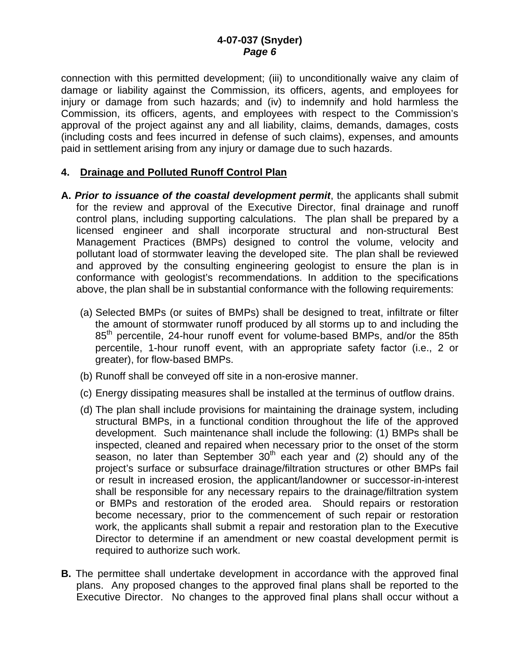connection with this permitted development; (iii) to unconditionally waive any claim of damage or liability against the Commission, its officers, agents, and employees for injury or damage from such hazards; and (iv) to indemnify and hold harmless the Commission, its officers, agents, and employees with respect to the Commission's approval of the project against any and all liability, claims, demands, damages, costs (including costs and fees incurred in defense of such claims), expenses, and amounts paid in settlement arising from any injury or damage due to such hazards.

#### **4. Drainage and Polluted Runoff Control Plan**

- **A.** *Prior to issuance of the coastal development permit*, the applicants shall submit for the review and approval of the Executive Director, final drainage and runoff control plans, including supporting calculations. The plan shall be prepared by a licensed engineer and shall incorporate structural and non-structural Best Management Practices (BMPs) designed to control the volume, velocity and pollutant load of stormwater leaving the developed site. The plan shall be reviewed and approved by the consulting engineering geologist to ensure the plan is in conformance with geologist's recommendations. In addition to the specifications above, the plan shall be in substantial conformance with the following requirements:
	- (a) Selected BMPs (or suites of BMPs) shall be designed to treat, infiltrate or filter the amount of stormwater runoff produced by all storms up to and including the 85<sup>th</sup> percentile, 24-hour runoff event for volume-based BMPs, and/or the 85th percentile, 1-hour runoff event, with an appropriate safety factor (i.e., 2 or greater), for flow-based BMPs.
	- (b) Runoff shall be conveyed off site in a non-erosive manner.
	- (c) Energy dissipating measures shall be installed at the terminus of outflow drains.
	- (d) The plan shall include provisions for maintaining the drainage system, including structural BMPs, in a functional condition throughout the life of the approved development. Such maintenance shall include the following: (1) BMPs shall be inspected, cleaned and repaired when necessary prior to the onset of the storm season, no later than September  $30<sup>th</sup>$  each year and (2) should any of the project's surface or subsurface drainage/filtration structures or other BMPs fail or result in increased erosion, the applicant/landowner or successor-in-interest shall be responsible for any necessary repairs to the drainage/filtration system or BMPs and restoration of the eroded area. Should repairs or restoration become necessary, prior to the commencement of such repair or restoration work, the applicants shall submit a repair and restoration plan to the Executive Director to determine if an amendment or new coastal development permit is required to authorize such work.
- **B.** The permittee shall undertake development in accordance with the approved final plans. Any proposed changes to the approved final plans shall be reported to the Executive Director. No changes to the approved final plans shall occur without a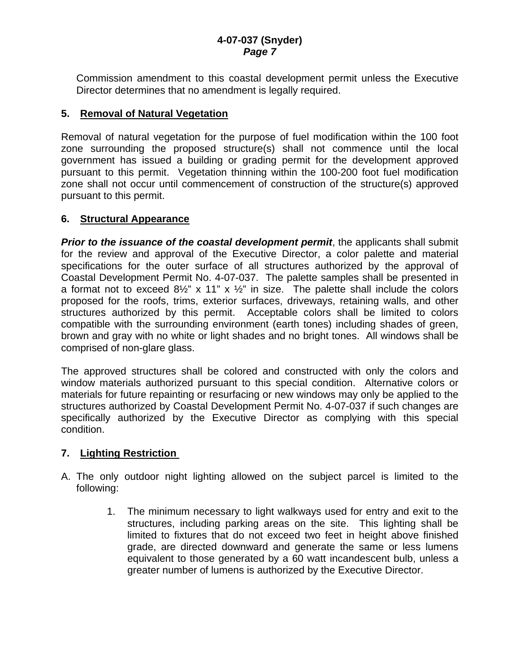Commission amendment to this coastal development permit unless the Executive Director determines that no amendment is legally required.

## **5. Removal of Natural Vegetation**

Removal of natural vegetation for the purpose of fuel modification within the 100 foot zone surrounding the proposed structure(s) shall not commence until the local government has issued a building or grading permit for the development approved pursuant to this permit. Vegetation thinning within the 100-200 foot fuel modification zone shall not occur until commencement of construction of the structure(s) approved pursuant to this permit.

## **6. Structural Appearance**

*Prior to the issuance of the coastal development permit, the applicants shall submit* for the review and approval of the Executive Director, a color palette and material specifications for the outer surface of all structures authorized by the approval of Coastal Development Permit No. 4-07-037. The palette samples shall be presented in a format not to exceed  $8\frac{1}{2}$ " x 11" x  $\frac{1}{2}$ " in size. The palette shall include the colors proposed for the roofs, trims, exterior surfaces, driveways, retaining walls, and other structures authorized by this permit. Acceptable colors shall be limited to colors compatible with the surrounding environment (earth tones) including shades of green, brown and gray with no white or light shades and no bright tones. All windows shall be comprised of non-glare glass.

The approved structures shall be colored and constructed with only the colors and window materials authorized pursuant to this special condition. Alternative colors or materials for future repainting or resurfacing or new windows may only be applied to the structures authorized by Coastal Development Permit No. 4-07-037 if such changes are specifically authorized by the Executive Director as complying with this special condition.

## **7. Lighting Restriction**

- A. The only outdoor night lighting allowed on the subject parcel is limited to the following:
	- 1. The minimum necessary to light walkways used for entry and exit to the structures, including parking areas on the site. This lighting shall be limited to fixtures that do not exceed two feet in height above finished grade, are directed downward and generate the same or less lumens equivalent to those generated by a 60 watt incandescent bulb, unless a greater number of lumens is authorized by the Executive Director.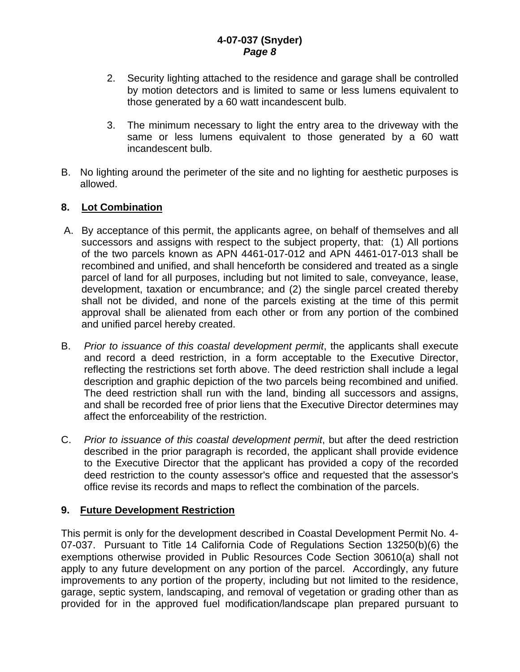- 2. Security lighting attached to the residence and garage shall be controlled by motion detectors and is limited to same or less lumens equivalent to those generated by a 60 watt incandescent bulb.
- 3. The minimum necessary to light the entry area to the driveway with the same or less lumens equivalent to those generated by a 60 watt incandescent bulb.
- B. No lighting around the perimeter of the site and no lighting for aesthetic purposes is allowed.

## **8. Lot Combination**

- A. By acceptance of this permit, the applicants agree, on behalf of themselves and all successors and assigns with respect to the subject property, that: (1) All portions of the two parcels known as APN 4461-017-012 and APN 4461-017-013 shall be recombined and unified, and shall henceforth be considered and treated as a single parcel of land for all purposes, including but not limited to sale, conveyance, lease, development, taxation or encumbrance; and (2) the single parcel created thereby shall not be divided, and none of the parcels existing at the time of this permit approval shall be alienated from each other or from any portion of the combined and unified parcel hereby created.
- B. *Prior to issuance of this coastal development permit*, the applicants shall execute and record a deed restriction, in a form acceptable to the Executive Director, reflecting the restrictions set forth above. The deed restriction shall include a legal description and graphic depiction of the two parcels being recombined and unified. The deed restriction shall run with the land, binding all successors and assigns, and shall be recorded free of prior liens that the Executive Director determines may affect the enforceability of the restriction.
- C. *Prior to issuance of this coastal development permit*, but after the deed restriction described in the prior paragraph is recorded, the applicant shall provide evidence to the Executive Director that the applicant has provided a copy of the recorded deed restriction to the county assessor's office and requested that the assessor's office revise its records and maps to reflect the combination of the parcels.

## **9. Future Development Restriction**

This permit is only for the development described in Coastal Development Permit No. 4- 07-037. Pursuant to Title 14 California Code of Regulations Section 13250(b)(6) the exemptions otherwise provided in Public Resources Code Section 30610(a) shall not apply to any future development on any portion of the parcel. Accordingly, any future improvements to any portion of the property, including but not limited to the residence, garage, septic system, landscaping, and removal of vegetation or grading other than as provided for in the approved fuel modification/landscape plan prepared pursuant to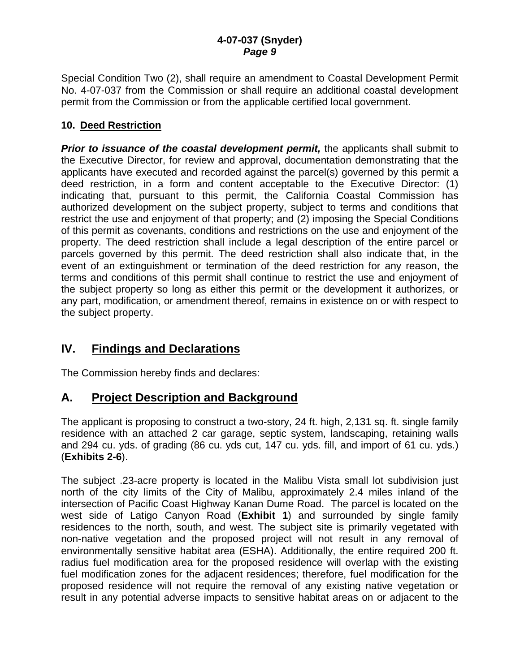Special Condition Two (2), shall require an amendment to Coastal Development Permit No. 4-07-037 from the Commission or shall require an additional coastal development permit from the Commission or from the applicable certified local government.

## **10. Deed Restriction**

**Prior to issuance of the coastal development permit, the applicants shall submit to** the Executive Director, for review and approval, documentation demonstrating that the applicants have executed and recorded against the parcel(s) governed by this permit a deed restriction, in a form and content acceptable to the Executive Director: (1) indicating that, pursuant to this permit, the California Coastal Commission has authorized development on the subject property, subject to terms and conditions that restrict the use and enjoyment of that property; and (2) imposing the Special Conditions of this permit as covenants, conditions and restrictions on the use and enjoyment of the property. The deed restriction shall include a legal description of the entire parcel or parcels governed by this permit. The deed restriction shall also indicate that, in the event of an extinguishment or termination of the deed restriction for any reason, the terms and conditions of this permit shall continue to restrict the use and enjoyment of the subject property so long as either this permit or the development it authorizes, or any part, modification, or amendment thereof, remains in existence on or with respect to the subject property.

# **IV. Findings and Declarations**

The Commission hereby finds and declares:

# **A. Project Description and Background**

The applicant is proposing to construct a two-story, 24 ft. high, 2,131 sq. ft. single family residence with an attached 2 car garage, septic system, landscaping, retaining walls and 294 cu. yds. of grading (86 cu. yds cut, 147 cu. yds. fill, and import of 61 cu. yds.) (**Exhibits 2-6**).

The subject .23-acre property is located in the Malibu Vista small lot subdivision just north of the city limits of the City of Malibu, approximately 2.4 miles inland of the intersection of Pacific Coast Highway Kanan Dume Road. The parcel is located on the west side of Latigo Canyon Road (**Exhibit 1**) and surrounded by single family residences to the north, south, and west. The subject site is primarily vegetated with non-native vegetation and the proposed project will not result in any removal of environmentally sensitive habitat area (ESHA). Additionally, the entire required 200 ft. radius fuel modification area for the proposed residence will overlap with the existing fuel modification zones for the adjacent residences; therefore, fuel modification for the proposed residence will not require the removal of any existing native vegetation or result in any potential adverse impacts to sensitive habitat areas on or adjacent to the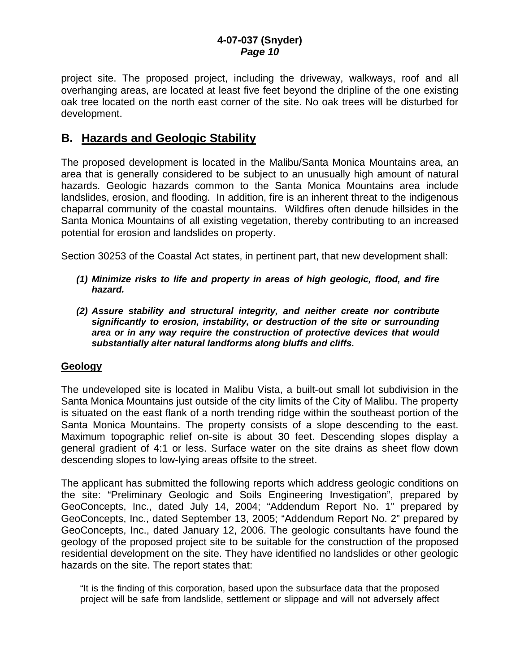project site. The proposed project, including the driveway, walkways, roof and all overhanging areas, are located at least five feet beyond the dripline of the one existing oak tree located on the north east corner of the site. No oak trees will be disturbed for development.

## **B. Hazards and Geologic Stability**

The proposed development is located in the Malibu/Santa Monica Mountains area, an area that is generally considered to be subject to an unusually high amount of natural hazards. Geologic hazards common to the Santa Monica Mountains area include landslides, erosion, and flooding. In addition, fire is an inherent threat to the indigenous chaparral community of the coastal mountains. Wildfires often denude hillsides in the Santa Monica Mountains of all existing vegetation, thereby contributing to an increased potential for erosion and landslides on property.

Section 30253 of the Coastal Act states, in pertinent part, that new development shall:

- *(1) Minimize risks to life and property in areas of high geologic, flood, and fire hazard.*
- *(2) Assure stability and structural integrity, and neither create nor contribute significantly to erosion, instability, or destruction of the site or surrounding area or in any way require the construction of protective devices that would substantially alter natural landforms along bluffs and cliffs.*

#### **Geology**

The undeveloped site is located in Malibu Vista, a built-out small lot subdivision in the Santa Monica Mountains just outside of the city limits of the City of Malibu. The property is situated on the east flank of a north trending ridge within the southeast portion of the Santa Monica Mountains. The property consists of a slope descending to the east. Maximum topographic relief on-site is about 30 feet. Descending slopes display a general gradient of 4:1 or less. Surface water on the site drains as sheet flow down descending slopes to low-lying areas offsite to the street.

The applicant has submitted the following reports which address geologic conditions on the site: "Preliminary Geologic and Soils Engineering Investigation", prepared by GeoConcepts, Inc., dated July 14, 2004; "Addendum Report No. 1" prepared by GeoConcepts, Inc., dated September 13, 2005; "Addendum Report No. 2" prepared by GeoConcepts, Inc., dated January 12, 2006. The geologic consultants have found the geology of the proposed project site to be suitable for the construction of the proposed residential development on the site. They have identified no landslides or other geologic hazards on the site. The report states that:

"It is the finding of this corporation, based upon the subsurface data that the proposed project will be safe from landslide, settlement or slippage and will not adversely affect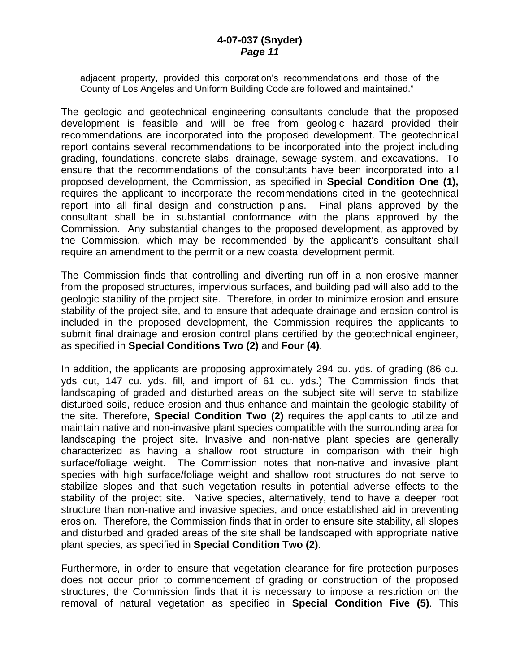adjacent property, provided this corporation's recommendations and those of the County of Los Angeles and Uniform Building Code are followed and maintained."

The geologic and geotechnical engineering consultants conclude that the proposed development is feasible and will be free from geologic hazard provided their recommendations are incorporated into the proposed development. The geotechnical report contains several recommendations to be incorporated into the project including grading, foundations, concrete slabs, drainage, sewage system, and excavations. To ensure that the recommendations of the consultants have been incorporated into all proposed development, the Commission, as specified in **Special Condition One (1),** requires the applicant to incorporate the recommendations cited in the geotechnical report into all final design and construction plans. Final plans approved by the consultant shall be in substantial conformance with the plans approved by the Commission. Any substantial changes to the proposed development, as approved by the Commission, which may be recommended by the applicant's consultant shall require an amendment to the permit or a new coastal development permit.

The Commission finds that controlling and diverting run-off in a non-erosive manner from the proposed structures, impervious surfaces, and building pad will also add to the geologic stability of the project site. Therefore, in order to minimize erosion and ensure stability of the project site, and to ensure that adequate drainage and erosion control is included in the proposed development, the Commission requires the applicants to submit final drainage and erosion control plans certified by the geotechnical engineer, as specified in **Special Conditions Two (2)** and **Four (4)**.

In addition, the applicants are proposing approximately 294 cu. yds. of grading (86 cu. yds cut, 147 cu. yds. fill, and import of 61 cu. yds.) The Commission finds that landscaping of graded and disturbed areas on the subject site will serve to stabilize disturbed soils, reduce erosion and thus enhance and maintain the geologic stability of the site. Therefore, **Special Condition Two (2)** requires the applicants to utilize and maintain native and non-invasive plant species compatible with the surrounding area for landscaping the project site. Invasive and non-native plant species are generally characterized as having a shallow root structure in comparison with their high surface/foliage weight. The Commission notes that non-native and invasive plant species with high surface/foliage weight and shallow root structures do not serve to stabilize slopes and that such vegetation results in potential adverse effects to the stability of the project site. Native species, alternatively, tend to have a deeper root structure than non-native and invasive species, and once established aid in preventing erosion. Therefore, the Commission finds that in order to ensure site stability, all slopes and disturbed and graded areas of the site shall be landscaped with appropriate native plant species, as specified in **Special Condition Two (2)**.

Furthermore, in order to ensure that vegetation clearance for fire protection purposes does not occur prior to commencement of grading or construction of the proposed structures, the Commission finds that it is necessary to impose a restriction on the removal of natural vegetation as specified in **Special Condition Five (5)**. This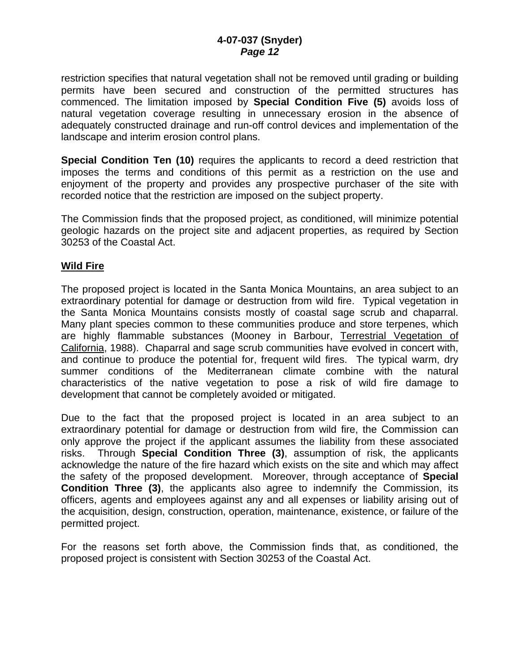restriction specifies that natural vegetation shall not be removed until grading or building permits have been secured and construction of the permitted structures has commenced. The limitation imposed by **Special Condition Five (5)** avoids loss of natural vegetation coverage resulting in unnecessary erosion in the absence of adequately constructed drainage and run-off control devices and implementation of the landscape and interim erosion control plans.

**Special Condition Ten (10)** requires the applicants to record a deed restriction that imposes the terms and conditions of this permit as a restriction on the use and enjoyment of the property and provides any prospective purchaser of the site with recorded notice that the restriction are imposed on the subject property.

The Commission finds that the proposed project, as conditioned, will minimize potential geologic hazards on the project site and adjacent properties, as required by Section 30253 of the Coastal Act.

#### **Wild Fire**

The proposed project is located in the Santa Monica Mountains, an area subject to an extraordinary potential for damage or destruction from wild fire. Typical vegetation in the Santa Monica Mountains consists mostly of coastal sage scrub and chaparral. Many plant species common to these communities produce and store terpenes, which are highly flammable substances (Mooney in Barbour, Terrestrial Vegetation of California, 1988). Chaparral and sage scrub communities have evolved in concert with, and continue to produce the potential for, frequent wild fires. The typical warm, dry summer conditions of the Mediterranean climate combine with the natural characteristics of the native vegetation to pose a risk of wild fire damage to development that cannot be completely avoided or mitigated.

Due to the fact that the proposed project is located in an area subject to an extraordinary potential for damage or destruction from wild fire, the Commission can only approve the project if the applicant assumes the liability from these associated risks. Through **Special Condition Three (3)**, assumption of risk, the applicants acknowledge the nature of the fire hazard which exists on the site and which may affect the safety of the proposed development. Moreover, through acceptance of **Special Condition Three (3)**, the applicants also agree to indemnify the Commission, its officers, agents and employees against any and all expenses or liability arising out of the acquisition, design, construction, operation, maintenance, existence, or failure of the permitted project.

For the reasons set forth above, the Commission finds that, as conditioned, the proposed project is consistent with Section 30253 of the Coastal Act.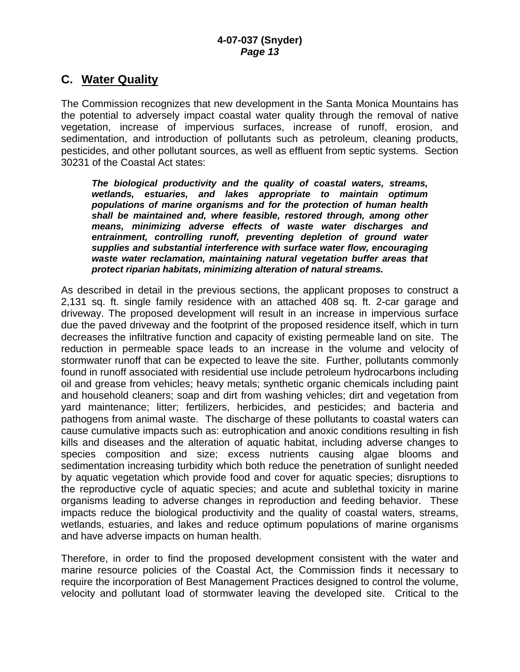## **C. Water Quality**

The Commission recognizes that new development in the Santa Monica Mountains has the potential to adversely impact coastal water quality through the removal of native vegetation, increase of impervious surfaces, increase of runoff, erosion, and sedimentation, and introduction of pollutants such as petroleum, cleaning products, pesticides, and other pollutant sources, as well as effluent from septic systems. Section 30231 of the Coastal Act states:

*The biological productivity and the quality of coastal waters, streams, wetlands, estuaries, and lakes appropriate to maintain optimum populations of marine organisms and for the protection of human health shall be maintained and, where feasible, restored through, among other means, minimizing adverse effects of waste water discharges and entrainment, controlling runoff, preventing depletion of ground water supplies and substantial interference with surface water flow, encouraging waste water reclamation, maintaining natural vegetation buffer areas that protect riparian habitats, minimizing alteration of natural streams.* 

As described in detail in the previous sections, the applicant proposes to construct a 2,131 sq. ft. single family residence with an attached 408 sq. ft. 2-car garage and driveway. The proposed development will result in an increase in impervious surface due the paved driveway and the footprint of the proposed residence itself, which in turn decreases the infiltrative function and capacity of existing permeable land on site. The reduction in permeable space leads to an increase in the volume and velocity of stormwater runoff that can be expected to leave the site. Further, pollutants commonly found in runoff associated with residential use include petroleum hydrocarbons including oil and grease from vehicles; heavy metals; synthetic organic chemicals including paint and household cleaners; soap and dirt from washing vehicles; dirt and vegetation from yard maintenance; litter; fertilizers, herbicides, and pesticides; and bacteria and pathogens from animal waste. The discharge of these pollutants to coastal waters can cause cumulative impacts such as: eutrophication and anoxic conditions resulting in fish kills and diseases and the alteration of aquatic habitat, including adverse changes to species composition and size; excess nutrients causing algae blooms and sedimentation increasing turbidity which both reduce the penetration of sunlight needed by aquatic vegetation which provide food and cover for aquatic species; disruptions to the reproductive cycle of aquatic species; and acute and sublethal toxicity in marine organisms leading to adverse changes in reproduction and feeding behavior. These impacts reduce the biological productivity and the quality of coastal waters, streams, wetlands, estuaries, and lakes and reduce optimum populations of marine organisms and have adverse impacts on human health.

Therefore, in order to find the proposed development consistent with the water and marine resource policies of the Coastal Act, the Commission finds it necessary to require the incorporation of Best Management Practices designed to control the volume, velocity and pollutant load of stormwater leaving the developed site. Critical to the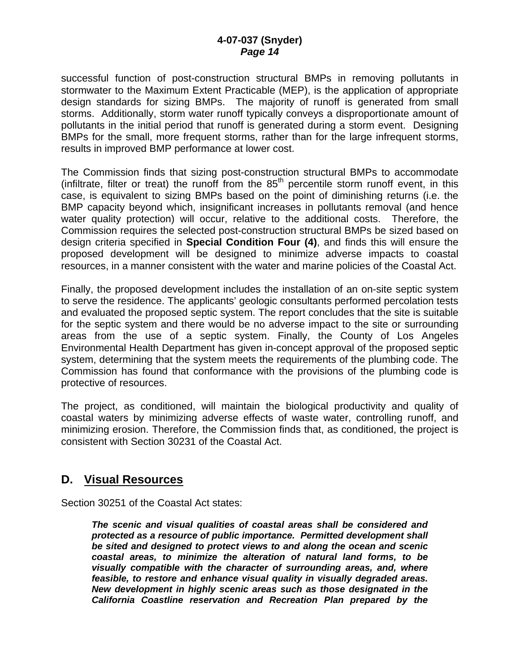successful function of post-construction structural BMPs in removing pollutants in stormwater to the Maximum Extent Practicable (MEP), is the application of appropriate design standards for sizing BMPs. The majority of runoff is generated from small storms. Additionally, storm water runoff typically conveys a disproportionate amount of pollutants in the initial period that runoff is generated during a storm event. Designing BMPs for the small, more frequent storms, rather than for the large infrequent storms, results in improved BMP performance at lower cost.

The Commission finds that sizing post-construction structural BMPs to accommodate (infiltrate, filter or treat) the runoff from the  $85<sup>th</sup>$  percentile storm runoff event, in this case, is equivalent to sizing BMPs based on the point of diminishing returns (i.e. the BMP capacity beyond which, insignificant increases in pollutants removal (and hence water quality protection) will occur, relative to the additional costs. Therefore, the Commission requires the selected post-construction structural BMPs be sized based on design criteria specified in **Special Condition Four (4)**, and finds this will ensure the proposed development will be designed to minimize adverse impacts to coastal resources, in a manner consistent with the water and marine policies of the Coastal Act.

Finally, the proposed development includes the installation of an on-site septic system to serve the residence. The applicants' geologic consultants performed percolation tests and evaluated the proposed septic system. The report concludes that the site is suitable for the septic system and there would be no adverse impact to the site or surrounding areas from the use of a septic system. Finally, the County of Los Angeles Environmental Health Department has given in-concept approval of the proposed septic system, determining that the system meets the requirements of the plumbing code. The Commission has found that conformance with the provisions of the plumbing code is protective of resources.

The project, as conditioned, will maintain the biological productivity and quality of coastal waters by minimizing adverse effects of waste water, controlling runoff, and minimizing erosion. Therefore, the Commission finds that, as conditioned, the project is consistent with Section 30231 of the Coastal Act.

# **D. Visual Resources**

Section 30251 of the Coastal Act states:

*The scenic and visual qualities of coastal areas shall be considered and protected as a resource of public importance. Permitted development shall be sited and designed to protect views to and along the ocean and scenic coastal areas, to minimize the alteration of natural land forms, to be visually compatible with the character of surrounding areas, and, where feasible, to restore and enhance visual quality in visually degraded areas. New development in highly scenic areas such as those designated in the California Coastline reservation and Recreation Plan prepared by the*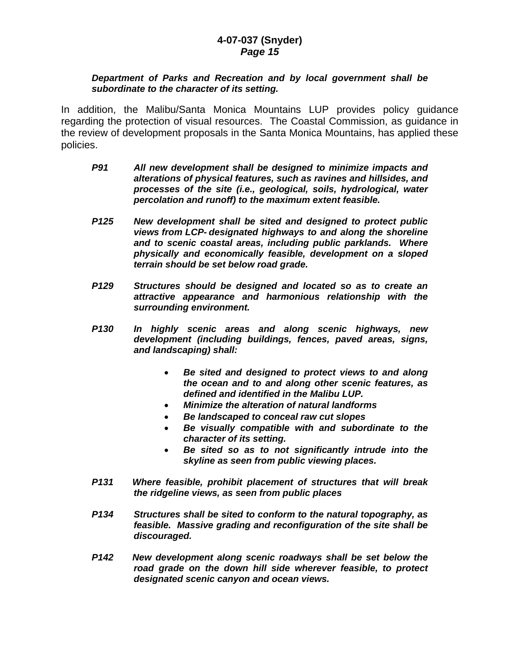#### *Department of Parks and Recreation and by local government shall be subordinate to the character of its setting.*

In addition, the Malibu/Santa Monica Mountains LUP provides policy guidance regarding the protection of visual resources. The Coastal Commission, as guidance in the review of development proposals in the Santa Monica Mountains, has applied these policies.

- *P91 All new development shall be designed to minimize impacts and alterations of physical features, such as ravines and hillsides, and processes of the site (i.e., geological, soils, hydrological, water percolation and runoff) to the maximum extent feasible.*
- *P125 New development shall be sited and designed to protect public views from LCP- designated highways to and along the shoreline and to scenic coastal areas, including public parklands. Where physically and economically feasible, development on a sloped terrain should be set below road grade.*
- *P129 Structures should be designed and located so as to create an attractive appearance and harmonious relationship with the surrounding environment.*
- *P130 In highly scenic areas and along scenic highways, new development (including buildings, fences, paved areas, signs, and landscaping) shall:* 
	- *Be sited and designed to protect views to and along the ocean and to and along other scenic features, as defined and identified in the Malibu LUP.*
	- *Minimize the alteration of natural landforms*
	- *Be landscaped to conceal raw cut slopes*
	- *Be visually compatible with and subordinate to the character of its setting.*
	- *Be sited so as to not significantly intrude into the skyline as seen from public viewing places.*
- *P131 Where feasible, prohibit placement of structures that will break the ridgeline views, as seen from public places*
- *P134 Structures shall be sited to conform to the natural topography, as feasible. Massive grading and reconfiguration of the site shall be discouraged.*
- *P142 New development along scenic roadways shall be set below the road grade on the down hill side wherever feasible, to protect designated scenic canyon and ocean views.*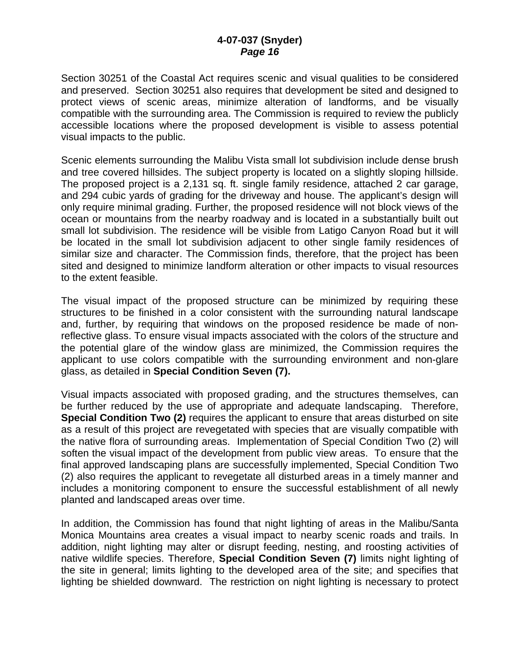Section 30251 of the Coastal Act requires scenic and visual qualities to be considered and preserved. Section 30251 also requires that development be sited and designed to protect views of scenic areas, minimize alteration of landforms, and be visually compatible with the surrounding area. The Commission is required to review the publicly accessible locations where the proposed development is visible to assess potential visual impacts to the public.

Scenic elements surrounding the Malibu Vista small lot subdivision include dense brush and tree covered hillsides. The subject property is located on a slightly sloping hillside. The proposed project is a 2,131 sq. ft. single family residence, attached 2 car garage, and 294 cubic yards of grading for the driveway and house. The applicant's design will only require minimal grading. Further, the proposed residence will not block views of the ocean or mountains from the nearby roadway and is located in a substantially built out small lot subdivision. The residence will be visible from Latigo Canyon Road but it will be located in the small lot subdivision adjacent to other single family residences of similar size and character. The Commission finds, therefore, that the project has been sited and designed to minimize landform alteration or other impacts to visual resources to the extent feasible.

The visual impact of the proposed structure can be minimized by requiring these structures to be finished in a color consistent with the surrounding natural landscape and, further, by requiring that windows on the proposed residence be made of nonreflective glass. To ensure visual impacts associated with the colors of the structure and the potential glare of the window glass are minimized, the Commission requires the applicant to use colors compatible with the surrounding environment and non-glare glass, as detailed in **Special Condition Seven (7).**

Visual impacts associated with proposed grading, and the structures themselves, can be further reduced by the use of appropriate and adequate landscaping. Therefore, **Special Condition Two (2)** requires the applicant to ensure that areas disturbed on site as a result of this project are revegetated with species that are visually compatible with the native flora of surrounding areas. Implementation of Special Condition Two (2) will soften the visual impact of the development from public view areas. To ensure that the final approved landscaping plans are successfully implemented, Special Condition Two (2) also requires the applicant to revegetate all disturbed areas in a timely manner and includes a monitoring component to ensure the successful establishment of all newly planted and landscaped areas over time.

In addition, the Commission has found that night lighting of areas in the Malibu/Santa Monica Mountains area creates a visual impact to nearby scenic roads and trails. In addition, night lighting may alter or disrupt feeding, nesting, and roosting activities of native wildlife species. Therefore, **Special Condition Seven (7)** limits night lighting of the site in general; limits lighting to the developed area of the site; and specifies that lighting be shielded downward. The restriction on night lighting is necessary to protect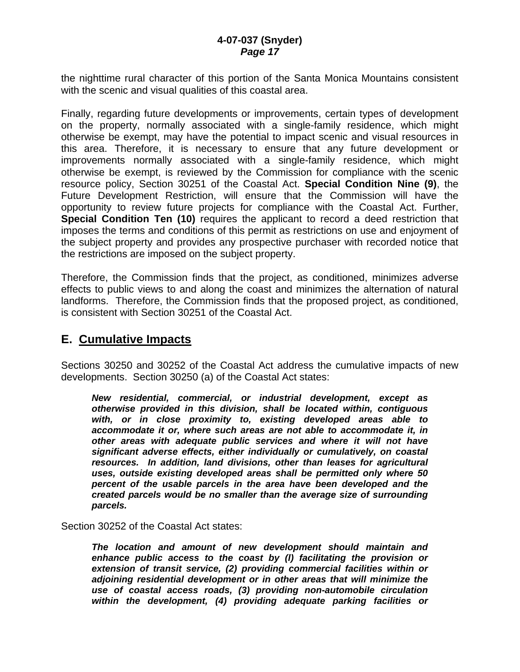the nighttime rural character of this portion of the Santa Monica Mountains consistent with the scenic and visual qualities of this coastal area.

Finally, regarding future developments or improvements, certain types of development on the property, normally associated with a single-family residence, which might otherwise be exempt, may have the potential to impact scenic and visual resources in this area. Therefore, it is necessary to ensure that any future development or improvements normally associated with a single-family residence, which might otherwise be exempt, is reviewed by the Commission for compliance with the scenic resource policy, Section 30251 of the Coastal Act. **Special Condition Nine (9)**, the Future Development Restriction, will ensure that the Commission will have the opportunity to review future projects for compliance with the Coastal Act. Further, **Special Condition Ten (10)** requires the applicant to record a deed restriction that imposes the terms and conditions of this permit as restrictions on use and enjoyment of the subject property and provides any prospective purchaser with recorded notice that the restrictions are imposed on the subject property.

Therefore, the Commission finds that the project, as conditioned, minimizes adverse effects to public views to and along the coast and minimizes the alternation of natural landforms. Therefore, the Commission finds that the proposed project, as conditioned, is consistent with Section 30251 of the Coastal Act.

## **E. Cumulative Impacts**

Sections 30250 and 30252 of the Coastal Act address the cumulative impacts of new developments. Section 30250 (a) of the Coastal Act states:

*New residential, commercial, or industrial development, except as otherwise provided in this division, shall be located within, contiguous with, or in close proximity to, existing developed areas able to accommodate it or, where such areas are not able to accommodate it, in other areas with adequate public services and where it will not have significant adverse effects, either individually or cumulatively, on coastal resources. In addition, land divisions, other than leases for agricultural uses, outside existing developed areas shall be permitted only where 50 percent of the usable parcels in the area have been developed and the created parcels would be no smaller than the average size of surrounding parcels.* 

Section 30252 of the Coastal Act states:

*The location and amount of new development should maintain and enhance public access to the coast by (l) facilitating the provision or extension of transit service, (2) providing commercial facilities within or adjoining residential development or in other areas that will minimize the use of coastal access roads, (3) providing non-automobile circulation within the development, (4) providing adequate parking facilities or*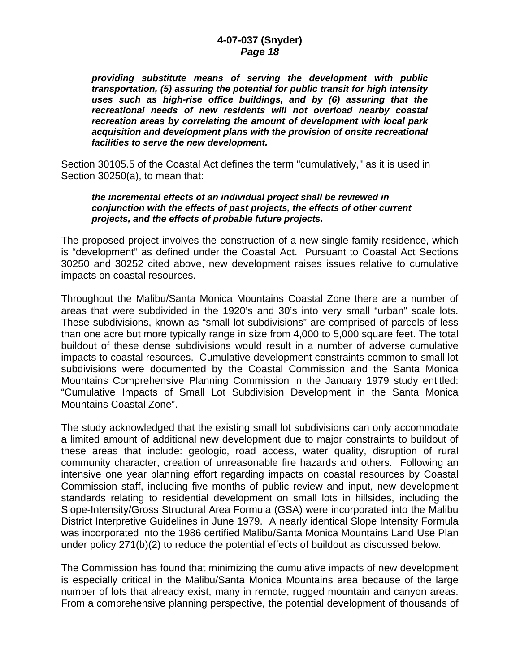*providing substitute means of serving the development with public transportation, (5) assuring the potential for public transit for high intensity uses such as high-rise office buildings, and by (6) assuring that the recreational needs of new residents will not overload nearby coastal recreation areas by correlating the amount of development with local park acquisition and development plans with the provision of onsite recreational facilities to serve the new development.* 

Section 30105.5 of the Coastal Act defines the term "cumulatively," as it is used in Section 30250(a), to mean that:

#### *the incremental effects of an individual project shall be reviewed in conjunction with the effects of past projects, the effects of other current projects, and the effects of probable future projects.*

The proposed project involves the construction of a new single-family residence, which is "development" as defined under the Coastal Act. Pursuant to Coastal Act Sections 30250 and 30252 cited above, new development raises issues relative to cumulative impacts on coastal resources.

Throughout the Malibu/Santa Monica Mountains Coastal Zone there are a number of areas that were subdivided in the 1920's and 30's into very small "urban" scale lots. These subdivisions, known as "small lot subdivisions" are comprised of parcels of less than one acre but more typically range in size from 4,000 to 5,000 square feet. The total buildout of these dense subdivisions would result in a number of adverse cumulative impacts to coastal resources. Cumulative development constraints common to small lot subdivisions were documented by the Coastal Commission and the Santa Monica Mountains Comprehensive Planning Commission in the January 1979 study entitled: "Cumulative Impacts of Small Lot Subdivision Development in the Santa Monica Mountains Coastal Zone".

The study acknowledged that the existing small lot subdivisions can only accommodate a limited amount of additional new development due to major constraints to buildout of these areas that include: geologic, road access, water quality, disruption of rural community character, creation of unreasonable fire hazards and others. Following an intensive one year planning effort regarding impacts on coastal resources by Coastal Commission staff, including five months of public review and input, new development standards relating to residential development on small lots in hillsides, including the Slope-Intensity/Gross Structural Area Formula (GSA) were incorporated into the Malibu District Interpretive Guidelines in June 1979. A nearly identical Slope Intensity Formula was incorporated into the 1986 certified Malibu/Santa Monica Mountains Land Use Plan under policy 271(b)(2) to reduce the potential effects of buildout as discussed below.

The Commission has found that minimizing the cumulative impacts of new development is especially critical in the Malibu/Santa Monica Mountains area because of the large number of lots that already exist, many in remote, rugged mountain and canyon areas. From a comprehensive planning perspective, the potential development of thousands of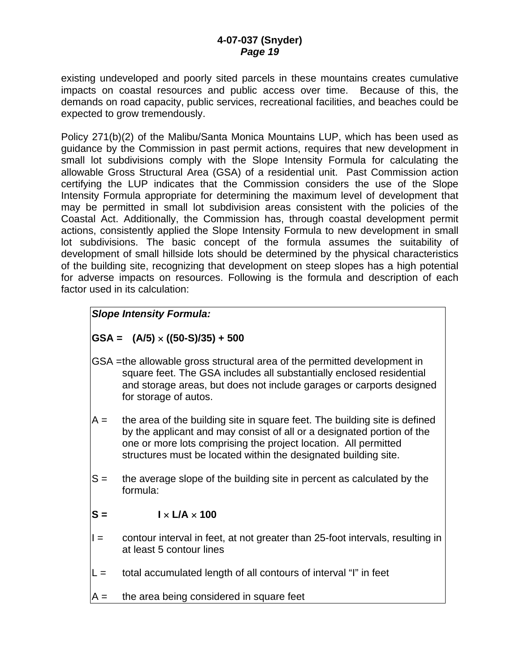existing undeveloped and poorly sited parcels in these mountains creates cumulative impacts on coastal resources and public access over time. Because of this, the demands on road capacity, public services, recreational facilities, and beaches could be expected to grow tremendously.

Policy 271(b)(2) of the Malibu/Santa Monica Mountains LUP, which has been used as guidance by the Commission in past permit actions, requires that new development in small lot subdivisions comply with the Slope Intensity Formula for calculating the allowable Gross Structural Area (GSA) of a residential unit. Past Commission action certifying the LUP indicates that the Commission considers the use of the Slope Intensity Formula appropriate for determining the maximum level of development that may be permitted in small lot subdivision areas consistent with the policies of the Coastal Act. Additionally, the Commission has, through coastal development permit actions, consistently applied the Slope Intensity Formula to new development in small lot subdivisions. The basic concept of the formula assumes the suitability of development of small hillside lots should be determined by the physical characteristics of the building site, recognizing that development on steep slopes has a high potential for adverse impacts on resources. Following is the formula and description of each factor used in its calculation:

## *Slope Intensity Formula:*

## **GSA = (A/5)** × **((50-S)/35) + 500**

- GSA = the allowable gross structural area of the permitted development in square feet. The GSA includes all substantially enclosed residential and storage areas, but does not include garages or carports designed for storage of autos.
- $A =$  the area of the building site in square feet. The building site is defined by the applicant and may consist of all or a designated portion of the one or more lots comprising the project location. All permitted structures must be located within the designated building site.
- $S =$  the average slope of the building site in percent as calculated by the formula:

## $S = \qquad \qquad I \times I/A \times 100$

- $I =$  contour interval in feet, at not greater than 25-foot intervals, resulting in at least 5 contour lines
- $L =$  total accumulated length of all contours of interval "I" in feet
- $A =$  the area being considered in square feet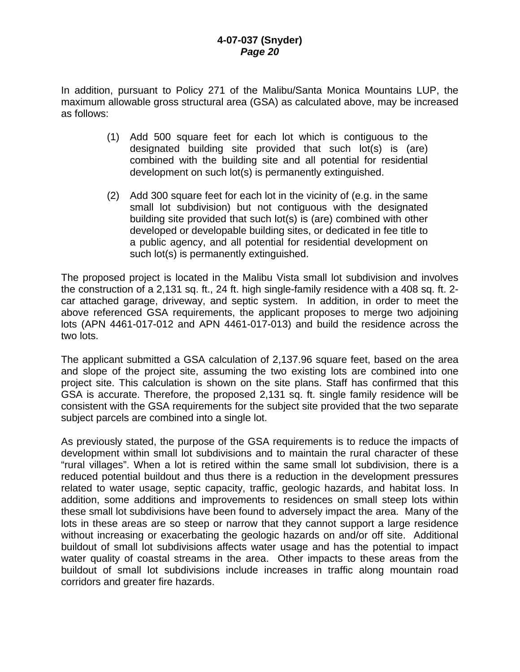In addition, pursuant to Policy 271 of the Malibu/Santa Monica Mountains LUP, the maximum allowable gross structural area (GSA) as calculated above, may be increased as follows:

- (1) Add 500 square feet for each lot which is contiguous to the designated building site provided that such lot(s) is (are) combined with the building site and all potential for residential development on such lot(s) is permanently extinguished.
- (2) Add 300 square feet for each lot in the vicinity of (e.g. in the same small lot subdivision) but not contiguous with the designated building site provided that such lot(s) is (are) combined with other developed or developable building sites, or dedicated in fee title to a public agency, and all potential for residential development on such lot(s) is permanently extinguished.

The proposed project is located in the Malibu Vista small lot subdivision and involves the construction of a 2,131 sq. ft., 24 ft. high single-family residence with a 408 sq. ft. 2 car attached garage, driveway, and septic system. In addition, in order to meet the above referenced GSA requirements, the applicant proposes to merge two adjoining lots (APN 4461-017-012 and APN 4461-017-013) and build the residence across the two lots.

The applicant submitted a GSA calculation of 2,137.96 square feet, based on the area and slope of the project site, assuming the two existing lots are combined into one project site. This calculation is shown on the site plans. Staff has confirmed that this GSA is accurate. Therefore, the proposed 2,131 sq. ft. single family residence will be consistent with the GSA requirements for the subject site provided that the two separate subject parcels are combined into a single lot.

As previously stated, the purpose of the GSA requirements is to reduce the impacts of development within small lot subdivisions and to maintain the rural character of these "rural villages". When a lot is retired within the same small lot subdivision, there is a reduced potential buildout and thus there is a reduction in the development pressures related to water usage, septic capacity, traffic, geologic hazards, and habitat loss. In addition, some additions and improvements to residences on small steep lots within these small lot subdivisions have been found to adversely impact the area. Many of the lots in these areas are so steep or narrow that they cannot support a large residence without increasing or exacerbating the geologic hazards on and/or off site. Additional buildout of small lot subdivisions affects water usage and has the potential to impact water quality of coastal streams in the area. Other impacts to these areas from the buildout of small lot subdivisions include increases in traffic along mountain road corridors and greater fire hazards.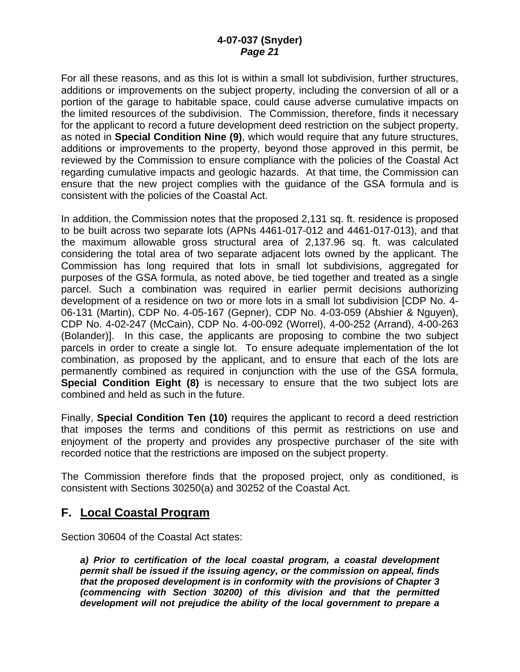For all these reasons, and as this lot is within a small lot subdivision, further structures, additions or improvements on the subject property, including the conversion of all or a portion of the garage to habitable space, could cause adverse cumulative impacts on the limited resources of the subdivision. The Commission, therefore, finds it necessary for the applicant to record a future development deed restriction on the subject property, as noted in **Special Condition Nine (9)**, which would require that any future structures, additions or improvements to the property, beyond those approved in this permit, be reviewed by the Commission to ensure compliance with the policies of the Coastal Act regarding cumulative impacts and geologic hazards. At that time, the Commission can ensure that the new project complies with the guidance of the GSA formula and is consistent with the policies of the Coastal Act.

In addition, the Commission notes that the proposed 2,131 sq. ft. residence is proposed to be built across two separate lots (APNs 4461-017-012 and 4461-017-013), and that the maximum allowable gross structural area of 2,137.96 sq. ft. was calculated considering the total area of two separate adjacent lots owned by the applicant. The Commission has long required that lots in small lot subdivisions, aggregated for purposes of the GSA formula, as noted above, be tied together and treated as a single parcel. Such a combination was required in earlier permit decisions authorizing development of a residence on two or more lots in a small lot subdivision [CDP No. 4- 06-131 (Martin), CDP No. 4-05-167 (Gepner), CDP No. 4-03-059 (Abshier & Nguyen), CDP No. 4-02-247 (McCain), CDP No. 4-00-092 (Worrel), 4-00-252 (Arrand), 4-00-263 (Bolander)]. In this case, the applicants are proposing to combine the two subject parcels in order to create a single lot. To ensure adequate implementation of the lot combination, as proposed by the applicant, and to ensure that each of the lots are permanently combined as required in conjunction with the use of the GSA formula, **Special Condition Eight (8)** is necessary to ensure that the two subject lots are combined and held as such in the future.

Finally, **Special Condition Ten (10)** requires the applicant to record a deed restriction that imposes the terms and conditions of this permit as restrictions on use and enjoyment of the property and provides any prospective purchaser of the site with recorded notice that the restrictions are imposed on the subject property.

The Commission therefore finds that the proposed project, only as conditioned, is consistent with Sections 30250(a) and 30252 of the Coastal Act.

## **F. Local Coastal Program**

Section 30604 of the Coastal Act states:

*a) Prior to certification of the local coastal program, a coastal development permit shall be issued if the issuing agency, or the commission on appeal, finds that the proposed development is in conformity with the provisions of Chapter 3 (commencing with Section 30200) of this division and that the permitted development will not prejudice the ability of the local government to prepare a*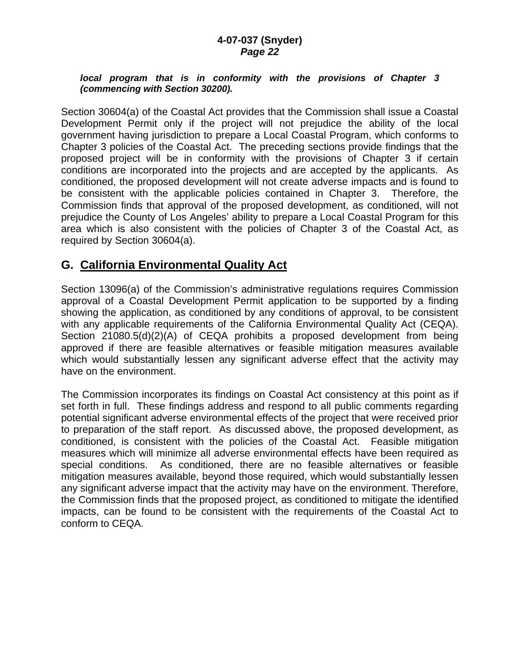#### *local program that is in conformity with the provisions of Chapter 3 (commencing with Section 30200).*

Section 30604(a) of the Coastal Act provides that the Commission shall issue a Coastal Development Permit only if the project will not prejudice the ability of the local government having jurisdiction to prepare a Local Coastal Program, which conforms to Chapter 3 policies of the Coastal Act. The preceding sections provide findings that the proposed project will be in conformity with the provisions of Chapter 3 if certain conditions are incorporated into the projects and are accepted by the applicants. As conditioned, the proposed development will not create adverse impacts and is found to be consistent with the applicable policies contained in Chapter 3. Therefore, the Commission finds that approval of the proposed development, as conditioned, will not prejudice the County of Los Angeles' ability to prepare a Local Coastal Program for this area which is also consistent with the policies of Chapter 3 of the Coastal Act, as required by Section 30604(a).

# **G. California Environmental Quality Act**

Section 13096(a) of the Commission's administrative regulations requires Commission approval of a Coastal Development Permit application to be supported by a finding showing the application, as conditioned by any conditions of approval, to be consistent with any applicable requirements of the California Environmental Quality Act (CEQA). Section 21080.5(d)(2)(A) of CEQA prohibits a proposed development from being approved if there are feasible alternatives or feasible mitigation measures available which would substantially lessen any significant adverse effect that the activity may have on the environment.

The Commission incorporates its findings on Coastal Act consistency at this point as if set forth in full. These findings address and respond to all public comments regarding potential significant adverse environmental effects of the project that were received prior to preparation of the staff report. As discussed above, the proposed development, as conditioned, is consistent with the policies of the Coastal Act. Feasible mitigation measures which will minimize all adverse environmental effects have been required as special conditions. As conditioned, there are no feasible alternatives or feasible mitigation measures available, beyond those required, which would substantially lessen any significant adverse impact that the activity may have on the environment. Therefore, the Commission finds that the proposed project, as conditioned to mitigate the identified impacts, can be found to be consistent with the requirements of the Coastal Act to conform to CEQA.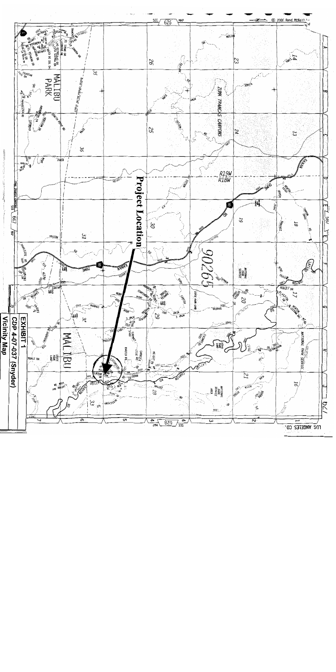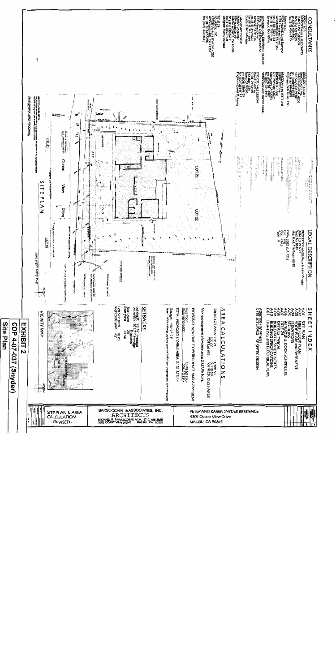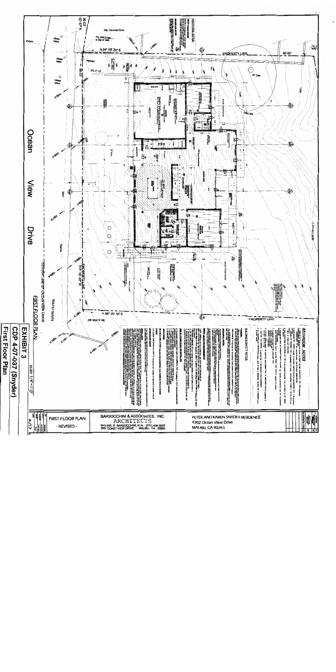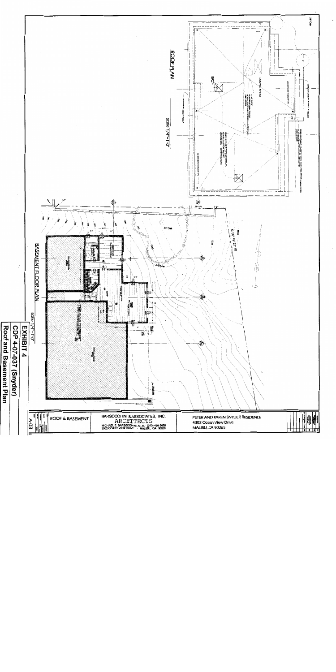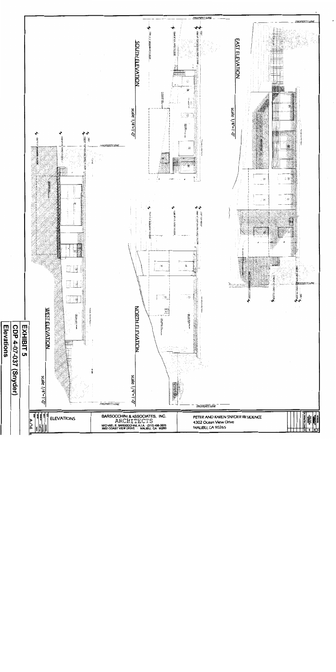